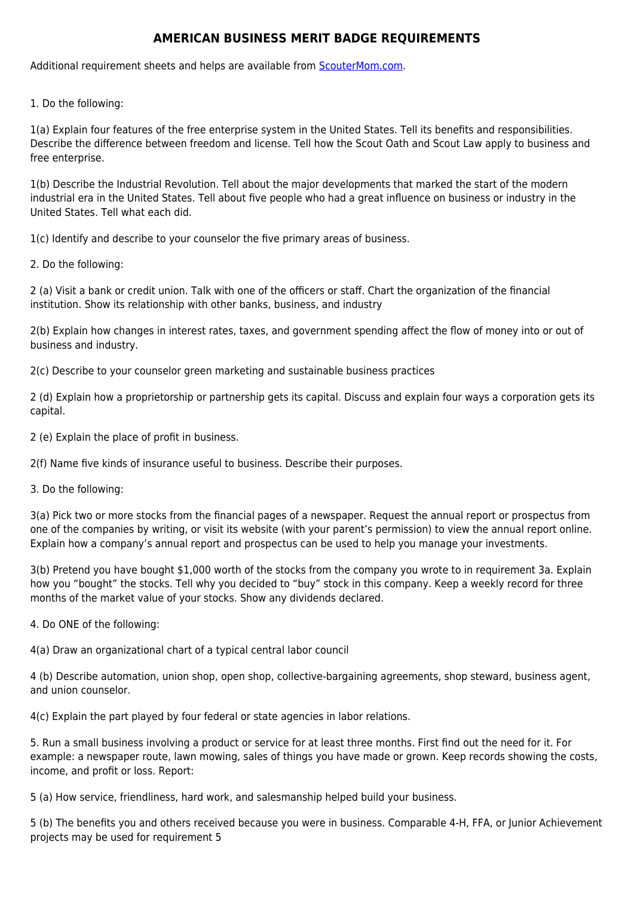## **AMERICAN BUSINESS MERIT BADGE REQUIREMENTS**

Additional requirement sheets and helps are available from [ScouterMom.com](http://scoutermom.com).

1. Do the following:

1(a) Explain four features of the free enterprise system in the United States. Tell its benefits and responsibilities. Describe the difference between freedom and license. Tell how the Scout Oath and Scout Law apply to business and free enterprise.

1(b) Describe the Industrial Revolution. Tell about the major developments that marked the start of the modern industrial era in the United States. Tell about five people who had a great influence on business or industry in the United States. Tell what each did.

1(c) Identify and describe to your counselor the five primary areas of business.

2. Do the following:

2 (a) Visit a bank or credit union. Talk with one of the officers or staff. Chart the organization of the financial institution. Show its relationship with other banks, business, and industry

2(b) Explain how changes in interest rates, taxes, and government spending affect the flow of money into or out of business and industry.

2(c) Describe to your counselor green marketing and sustainable business practices

2 (d) Explain how a proprietorship or partnership gets its capital. Discuss and explain four ways a corporation gets its capital.

2 (e) Explain the place of profit in business.

2(f) Name five kinds of insurance useful to business. Describe their purposes.

3. Do the following:

3(a) Pick two or more stocks from the financial pages of a newspaper. Request the annual report or prospectus from one of the companies by writing, or visit its website (with your parent's permission) to view the annual report online. Explain how a company's annual report and prospectus can be used to help you manage your investments.

3(b) Pretend you have bought \$1,000 worth of the stocks from the company you wrote to in requirement 3a. Explain how you "bought" the stocks. Tell why you decided to "buy" stock in this company. Keep a weekly record for three months of the market value of your stocks. Show any dividends declared.

4. Do ONE of the following:

4(a) Draw an organizational chart of a typical central labor council

4 (b) Describe automation, union shop, open shop, collective-bargaining agreements, shop steward, business agent, and union counselor.

4(c) Explain the part played by four federal or state agencies in labor relations.

5. Run a small business involving a product or service for at least three months. First find out the need for it. For example: a newspaper route, lawn mowing, sales of things you have made or grown. Keep records showing the costs, income, and profit or loss. Report:

5 (a) How service, friendliness, hard work, and salesmanship helped build your business.

5 (b) The benefits you and others received because you were in business. Comparable 4-H, FFA, or Junior Achievement projects may be used for requirement 5